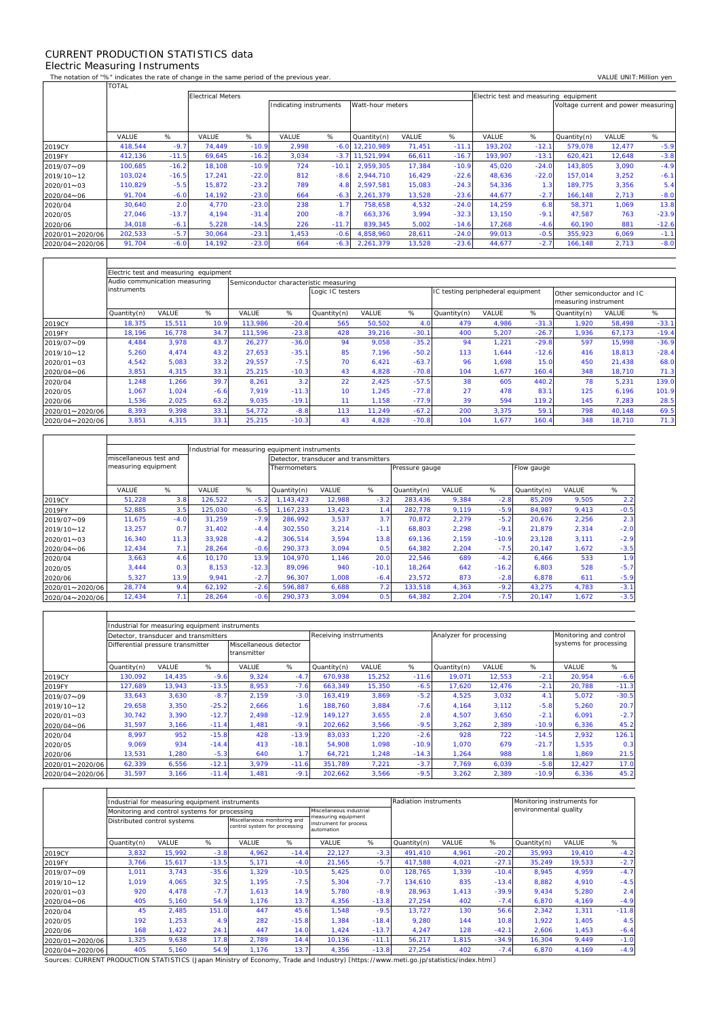## CURRENT PRODUCTION STATISTICS data Electric Measuring Instruments

 $\Gamma$ 

 $\mathbf{r}$ 

 $\overline{\mathsf{T}}$ 

٦

The notation of "%" indicates the rate of change in the same period of the previous year. VALUE UNIT:Million yen<br>TOTAL TOTAL

|                 |         |         | <b>Electrical Meters</b> |         |                                            |         |             |        |         |         | Electric test and measuring equipment |                                     |        |         |  |  |  |
|-----------------|---------|---------|--------------------------|---------|--------------------------------------------|---------|-------------|--------|---------|---------|---------------------------------------|-------------------------------------|--------|---------|--|--|--|
|                 |         |         |                          |         | Watt-hour meters<br>Indicating instruments |         |             |        |         |         |                                       | Voltage current and power measuring |        |         |  |  |  |
|                 |         |         |                          |         |                                            |         |             |        |         |         |                                       |                                     |        |         |  |  |  |
|                 |         | %       |                          | %       |                                            |         |             |        |         |         |                                       |                                     | VALUE  | %       |  |  |  |
|                 | VALUE   |         | VALUE                    |         | VALUE                                      | %       | Quantity(n) | VALUE  | %       | VALUE   | %                                     | Quantity(n)                         |        |         |  |  |  |
| 2019CY          | 418,544 | $-9.7$  | 74,449                   | $-10.9$ | 2,998                                      | $-6.0$  | 12,210,989  | 71,451 | $-11.1$ | 193,202 | $-12.1$                               | 579,078                             | 12,477 | $-5.9$  |  |  |  |
| 2019FY          | 412,136 | $-11.5$ | 69,645                   | $-16.2$ | 3,034                                      | $-3.7$  | 11.521.994  | 66,611 | $-16.7$ | 193.907 | $-13.1$                               | 620.421                             | 12,648 | $-3.8$  |  |  |  |
| 2019/07~09      | 100,685 | $-16.2$ | 18,108                   | $-10.9$ | 724                                        | $-10.1$ | 2.959.305   | 17,384 | $-10.9$ | 45,020  | $-24.0$                               | 143,805                             | 3,090  | $-4.9$  |  |  |  |
| 2019/10~12      | 103.024 | $-16.5$ | 17.241                   | $-22.0$ | 812                                        | $-8.6$  | 2.944.710   | 16,429 | $-22.6$ | 48.636  | $-22.0$                               | 157.014                             | 3,252  | $-6.1$  |  |  |  |
| 2020/01~03      | 110.829 | $-5.5$  | 15.872                   | $-23.2$ | 789                                        | 4.8     | 2.597.581   | 15,083 | $-24.3$ | 54,336  | 1.3                                   | 189.775                             | 3,356  | 5.4     |  |  |  |
| 2020/04~06      | 91,704  | $-6.0$  | 14.192                   | $-23.0$ | 664                                        | $-6.3$  | 2.261.379   | 13,528 | $-23.6$ | 44.677  | $-2.7$                                | 166.148                             | 2,713  | $-8.0$  |  |  |  |
| 2020/04         | 30,640  | 2.0     | 4,770                    | $-23.0$ | 238                                        | 1.7     | 758,658     | 4,532  | $-24.0$ | 14,259  | 6.8                                   | 58,371                              | 1,069  | 13.8    |  |  |  |
| 2020/05         | 27,046  | $-13.7$ | 4.194                    | $-31.4$ | 200                                        | $-8.7$  | 663,376     | 3,994  | $-32.3$ | 13.150  | $-9.1$                                | 47,587                              | 763    | $-23.9$ |  |  |  |
| 2020/06         | 34,018  | $-6.1$  | 5,228                    | $-14.5$ | 226                                        | $-11.7$ | 839,345     | 5,002  | $-14.6$ | 17,268  | $-4.6$                                | 60,190                              | 881    | $-12.6$ |  |  |  |
| 2020/01~2020/06 | 202,533 | $-5.7$  | 30.064                   | $-23.1$ | 1,453                                      | $-0.6$  | 4.858.960   | 28,611 | $-24.0$ | 99.013  | $-0.5$                                | 355.923                             | 6,069  | $-1.1$  |  |  |  |
| 2020/04~2020/06 | 91,704  | $-6.0$  | 14,192                   | $-23.0$ | 664                                        | $-6.3$  | 2,261,379   | 13,528 | $-23.6$ | 44,677  | $-2.7$                                | 166,148                             | 2,713  | $-8.0$  |  |  |  |

|                 | Electric test and measuring equipment |        |        |                                        |         |                  |        |         |                                   |       |         |                                                    |              |         |  |  |
|-----------------|---------------------------------------|--------|--------|----------------------------------------|---------|------------------|--------|---------|-----------------------------------|-------|---------|----------------------------------------------------|--------------|---------|--|--|
|                 | Audio communication measuring         |        |        | Semiconductor characteristic measuring |         |                  |        |         |                                   |       |         |                                                    |              |         |  |  |
|                 | instruments                           |        |        |                                        |         | Logic IC testers |        |         | IC testing periphederal equipment |       |         | Other semiconductor and IC<br>measuring instrument |              |         |  |  |
|                 | Quantity(n)                           | VALUE  | %      | VALUE                                  | %       | Quantity(n)      | VALUE  | %       | Quantity(n)                       | VALUE | %       | Quantity(n)                                        | <b>VALUE</b> | %       |  |  |
| 2019CY          | 18,375                                | 15,511 | 10.9   | 113.986                                | $-20.4$ | 565              | 50,502 | 4.0     | 479                               | 4,986 | $-31.3$ | 1.920                                              | 58,498       | $-33.1$ |  |  |
| 2019FY          | 18.196                                | 16.778 | 34.7   | 111.596                                | $-23.8$ | 428              | 39.216 | $-30.1$ | 400                               | 5,207 | $-26.7$ | 1.936                                              | 67,173       | $-19.4$ |  |  |
| 2019/07~09      | 4,484                                 | 3,978  | 43.7   | 26,277                                 | $-36.0$ | 94               | 9,058  | $-35.2$ | 94                                | 1,221 | $-29.8$ | 597                                                | 15,998       | $-36.9$ |  |  |
| 2019/10~12      | 5,260                                 | 4,474  | 43.2   | 27,653                                 | $-35.7$ | 85               | 7,196  | $-50.2$ | 113                               | 1,644 | $-12.6$ | 416                                                | 18,813       | $-28.4$ |  |  |
| 2020/01~03      | 4,542                                 | 5,083  | 33.2   | 29,557                                 | $-7.5$  | 70               | 6,421  | $-63.7$ | 96                                | 1,698 | 15.0    | 450                                                | 21,438       | 68.0    |  |  |
| 2020/04~06      | 3,851                                 | 4.315  | 33.1   | 25,215                                 | $-10.3$ | 43               | 4,828  | $-70.8$ | 104                               | 1,677 | 160.4   | 348                                                | 18,710       | 71.3    |  |  |
| 2020/04         | 1,248                                 | 1,266  | 39.7   | 8,261                                  | 3.2     | 22               | 2,425  | $-57.5$ | 38                                | 605   | 440.2   | 78                                                 | 5,231        | 139.0   |  |  |
| 2020/05         | 1.067                                 | 1,024  | $-6.6$ | 7.919                                  | $-11.3$ | 10               | 1.245  | $-77.8$ | 27                                | 478   | 83.     | 125                                                | 6.196        | 101.9   |  |  |
| 2020/06         | ,536                                  | 2,025  | 63.2   | 9,035                                  | $-19.1$ | 11               | 1.158  | $-77.9$ | 39                                | 594   | 119.2   | 145                                                | 7,283        | 28.5    |  |  |
| 2020/01~2020/06 | 8,393                                 | 9.398  | 33.1   | 54.772                                 | $-8.8$  | 113              | 11.249 | $-67.2$ | 200                               | 3,375 | 59.     | 798                                                | 40.148       | 69.5    |  |  |
| 2020/04~2020/06 | 3,851                                 | 4,315  | 33.1   | 25,215                                 | $-10.3$ | 43               | 4,828  | $-70.8$ | 104                               | 1,677 | 160.4   | 348                                                | 18,710       | 71.3    |  |  |

|                 |                        |        | Industrial for measuring equipment instruments |         |                                       |        |         |                |       |         |             |       |        |  |
|-----------------|------------------------|--------|------------------------------------------------|---------|---------------------------------------|--------|---------|----------------|-------|---------|-------------|-------|--------|--|
|                 | miscellaneous test and |        |                                                |         | Detector, transducer and transmitters |        |         |                |       |         |             |       |        |  |
|                 | measuring equipment    |        |                                                |         | <b>Thermometers</b>                   |        |         | Pressure gauge |       |         | Flow gauge  |       |        |  |
|                 |                        |        |                                                |         |                                       |        |         |                |       |         |             |       |        |  |
|                 | VALUE                  | %      | VALUE                                          | %       | Quantity(n)                           | VALUE  | %       | Quantity(n)    | VALUE | %       | Quantity(n) | VALUE | %      |  |
| 2019CY          | 51,228                 | 3.8    | 126,522                                        | $-5.2$  | 1.143.423                             | 12,988 | $-3.2$  | 283,436        | 9,384 | $-2.8$  | 85,209      | 9,505 | 2.2    |  |
| 2019FY          | 52,885                 | 3.5    | 125,030                                        | $-6.5$  | 1.167.233                             | 13,423 |         | 282,778        | 9,119 | $-5.9$  | 84.987      | 9.413 | $-0.5$ |  |
| 2019/07~09      | 11.675                 | $-4.0$ | 31.259                                         | $-7.9$  | 286.992                               | 3,537  | 3.7     | 70,872         | 2,279 | $-5.2$  | 20,676      | 2,256 | 2.3    |  |
| 2019/10~12      | 13,257                 | 0.7    | 31,402                                         | $-4.4$  | 302,550                               | 3,214  | $-1.1$  | 68,803         | 2,298 | $-9.1$  | 21,879      | 2,314 | $-2.0$ |  |
| 2020/01~03      | 16,340                 | 11.3   | 33.928                                         | $-4.2$  | 306.514                               | 3,594  | 13.8    | 69,136         | 2,159 | $-10.9$ | 23,128      | 3,111 | $-2.9$ |  |
| 2020/04~06      | 12,434                 | 7.1    | 28,264                                         | $-0.6$  | 290.373                               | 3,094  | 0.5     | 64,382         | 2,204 | $-7.5$  | 20,147      | 1,672 | $-3.5$ |  |
| 2020/04         | 3,663                  | 4.6    | 10.170                                         | 13.9    | 104.970                               | 1.146  | 20.0    | 22.546         | 689   | $-4.2$  | 6.466       | 533   | 1.9    |  |
| 2020/05         | 3,444                  | 0.3    | 8,153                                          | $-12.3$ | 89.096                                | 940    | $-10.1$ | 18,264         | 642   | $-16.2$ | 6,803       | 528   | $-5.7$ |  |
| 2020/06         | 5,327                  | 13.9   | 9.941                                          | $-2.7$  | 96.307                                | 1.008  | $-6.4$  | 23.572         | 873   | $-2.8$  | 6.878       | 611   | $-5.9$ |  |
| 2020/01~2020/06 | 28,774                 | 9.4    | 62.192                                         | $-2.6$  | 596.887                               | 6,688  | 7.2     | 133,518        | 4,363 | $-9.2$  | 43.275      | 4,783 | $-3.1$ |  |
| 2020/04~2020/06 | 12,434                 | 7.1    | 28,264                                         | $-0.6$  | 290,373                               | 3,094  | 0.5     | 64,382         | 2,204 | $-7.5$  | 20,147      | 1,672 | $-3.5$ |  |

|                 | Industrial for measuring equipment instruments |                                       |         |                                       |                |                        |        |         |                         |        |                        |                        |         |  |  |
|-----------------|------------------------------------------------|---------------------------------------|---------|---------------------------------------|----------------|------------------------|--------|---------|-------------------------|--------|------------------------|------------------------|---------|--|--|
|                 |                                                | Detector, transducer and transmitters |         |                                       |                | Receiving instrruments |        |         | Analyzer for processing |        |                        | Monitoring and control |         |  |  |
|                 |                                                | Differential pressure transmitter     |         | Miscellaneous detector<br>transmitter |                |                        |        |         |                         |        | systems for processing |                        |         |  |  |
|                 | Quantity(n)                                    | VALUE                                 | %       | VALUE                                 | %              | Quantity(n)            | VALUE  | %       | Quantity(n)             | VALUE  | %                      | VALUE                  | %       |  |  |
| 2019CY          | 130.092                                        | 14,435                                | $-9.6$  | 9,324                                 | $-4.7$         | 670.938                | 15,252 | $-11.6$ | 19.071                  | 12,553 | $-2.1$                 | 20.954                 | $-6.6$  |  |  |
| 2019FY          | 127,689                                        | 13,943                                | $-13.5$ | 8,953                                 | $-7.6$         | 663,349                | 15,350 | $-6.5$  | 17,620                  | 12,476 | $-2.1$                 | 20,788                 | $-11.3$ |  |  |
| 2019/07~09      | 33,643                                         | 3,630                                 | $-8.7$  | 2.159                                 | $-3.0$         | 163.419                | 3,869  | $-5.2$  | 4,525                   | 3,032  | 4.1                    | 5.072                  | $-30.5$ |  |  |
| 2019/10~12      | 29,658                                         | 3,350                                 | $-25.2$ | 2,666                                 | $\overline{6}$ | 188.760                | 3,884  | $-7.6$  | 4,164                   | 3,112  | $-5.8$                 | 5,260                  | 20.7    |  |  |
| 2020/01~03      | 30,742                                         | 3,390                                 | $-12.7$ | 2,498                                 | $-12.9$        | 149,127                | 3,655  | 2.8     | 4,507                   | 3,650  | $-2.1$                 | 6,091                  | $-2.7$  |  |  |
| 2020/04~06      | 31,597                                         | 3,166                                 | $-11.4$ | 1.481                                 | $-9.1$         | 202,662                | 3,566  | $-9.5$  | 3,262                   | 2,389  | $-10.9$                | 6,336                  | 45.2    |  |  |
| 2020/04         | 8,997                                          | 952                                   | $-15.8$ | 428                                   | $-13.9$        | 83,033                 | 1,220  | $-2.6$  | 928                     | 722    | $-14.5$                | 2,932                  | 126.1   |  |  |
| 2020/05         | 9,069                                          | 934                                   | $-14.4$ | 413                                   | $-18.1$        | 54,908                 | 1,098  | $-10.9$ | 1.070                   | 679    | $-21.7$                | 1,535                  | 0.3     |  |  |
| 2020/06         | 13,531                                         | 1,280                                 | $-5.3$  | 640                                   | 1.7            | 64,721                 | 1,248  | $-14.3$ | 1.264                   | 988    | 1.8                    | 1.869                  | 21.5    |  |  |
| 2020/01~2020/06 | 62,339                                         | 6,556                                 | $-12.1$ | 3,979                                 | $-11.6$        | 351,789                | 7,221  | $-3.7$  | 7.769                   | 6.039  | $-5.8$                 | 12,427                 | 17.0    |  |  |
| 2020/04~2020/06 | 31,597                                         | 3,166                                 | $-11.4$ | 1,481                                 | $-9.1$         | 202,662                | 3,566  | $-9.5$  | 3,262                   | 2,389  | $-10.9$                | 6,336                  | 45.2    |  |  |

|                 |                             | Industrial for measuring equipment instruments |         |                                                               |         | Radiation instruments                                       |         |             | Monitoring instruments for |         |                       |        |         |  |
|-----------------|-----------------------------|------------------------------------------------|---------|---------------------------------------------------------------|---------|-------------------------------------------------------------|---------|-------------|----------------------------|---------|-----------------------|--------|---------|--|
|                 |                             | Monitoring and control systems for processing  |         |                                                               |         | Miscellaneous industrial                                    |         |             |                            |         | environmental quality |        |         |  |
|                 | Distributed control systems |                                                |         | Miscellaneous monitoring and<br>control system for processing |         | measuring equipment<br>instrument for process<br>automation |         |             |                            |         |                       |        |         |  |
|                 | Quantity(n)                 | VALUE                                          | %       | VALUE                                                         | %       | VALUE                                                       | %       | Quantity(n) | VALUE                      | %       | Quantity(n)           | VALUE  | %       |  |
| 2019CY          | 3,832                       | 15,992                                         | $-3.8$  | 4,962                                                         | $-14.4$ | 22,127                                                      | $-3.3$  | 491,410     | 4,961                      | $-20.2$ | 35,993                | 19,410 | $-4.2$  |  |
| 2019FY          | 3.766                       | 15,617                                         | $-13.5$ | 5,171                                                         | $-4.0$  | 21,565                                                      | $-5.7$  | 417.588     | 4,021                      | $-27.1$ | 35.249                | 19.533 | $-2.7$  |  |
| 2019/07~09      | 1.011                       | 3,743                                          | $-35.6$ | 1.329                                                         | $-10.5$ | 5.425                                                       | 0.0     | 128.765     | 1,339                      | $-10.4$ | 8.945                 | 4,959  | $-4.7$  |  |
| 2019/10~12      | 1.019                       | 4,065                                          | 32.5    | 1.195                                                         | $-7.5$  | 5,304                                                       | $-7.7$  | 134.610     | 835                        | $-13.4$ | 8,882                 | 4,910  | $-4.5$  |  |
| 2020/01~03      | 920                         | 4,478                                          | $-7.7$  | 1,613                                                         | 14.9    | 5,780                                                       | $-8.9$  | 28,963      | 1,413                      | $-39.9$ | 9,434                 | 5,280  | 2.4     |  |
| 2020/04~06      | 405                         | 5,160                                          | 54.9    | 1.176                                                         | 13.7    | 4,356                                                       | $-13.8$ | 27,254      | 402                        | $-7.4$  | 6,870                 | 4,169  | $-4.9$  |  |
| 2020/04         | 45                          | 2,485                                          | 151.0   | 447                                                           | 45.6    | 1.548                                                       | $-9.5$  | 13.727      | 130                        | 56.6    | 2,342                 | 1,311  | $-11.8$ |  |
| 2020/05         | 192                         | 1,253                                          | 4.9     | 282                                                           | $-15.8$ | 1.384                                                       | $-18.4$ | 9,280       | 144                        | 10.8    | 1,922                 | 1,405  | 4.5     |  |
| 2020/06         | 168                         | 1,422                                          | 24.1    | 447                                                           | 14.0    | 1,424                                                       | $-13.7$ | 4,247       | 128                        | $-42.1$ | 2,606                 | 1,453  | $-6.4$  |  |
| 2020/01~2020/06 | 1,325                       | 9,638                                          | 17.8    | 2,789                                                         | 14.4    | 10,136                                                      | $-11.1$ | 56,217      | 1,815                      | $-34.9$ | 16,304                | 9.449  | $-1.0$  |  |
| 2020/04~2020/06 | 405                         | 5,160                                          | 54.9    | 1.176                                                         | 13.7    | 4,356                                                       | $-13.8$ | 27,254      | 402                        | $-7.4$  | 6,870                 | 4,169  | $-4.9$  |  |

Sources: CURRENT PRODUCTION STATISTICS (Japan Ministry of Economy, Trade and Industry) 〔https://www.meti.go.jp/statistics/index.html〕